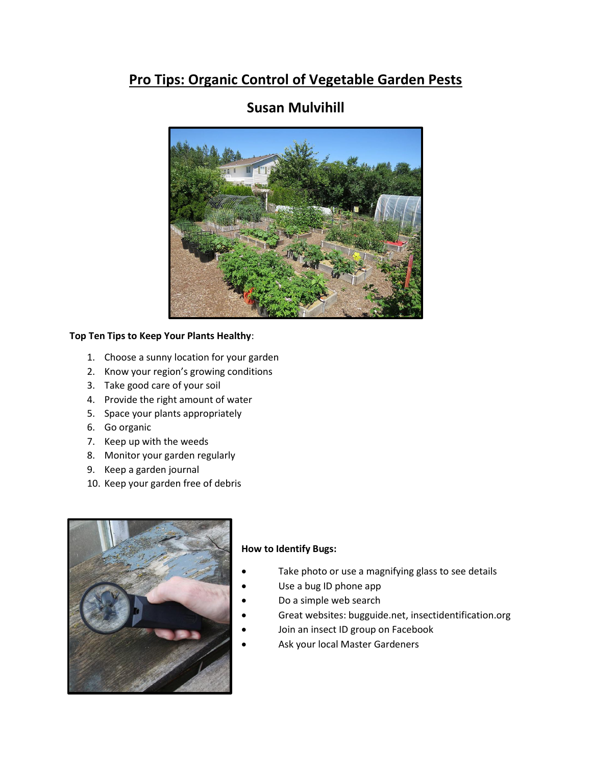# **Pro Tips: Organic Control of Vegetable Garden Pests**



# **Susan Mulvihill**

### **Top Ten Tips to Keep Your Plants Healthy**:

- 1. Choose a sunny location for your garden
- 2. Know your region's growing conditions
- 3. Take good care of your soil
- 4. Provide the right amount of water
- 5. Space your plants appropriately
- 6. Go organic
- 7. Keep up with the weeds
- 8. Monitor your garden regularly
- 9. Keep a garden journal
- 10. Keep your garden free of debris



#### **How to Identify Bugs:**

- Take photo or use a magnifying glass to see details
- Use a bug ID phone app
- Do a simple web search
- Great websites: bugguide.net, insectidentification.org
- Join an insect ID group on Facebook
- Ask your local Master Gardeners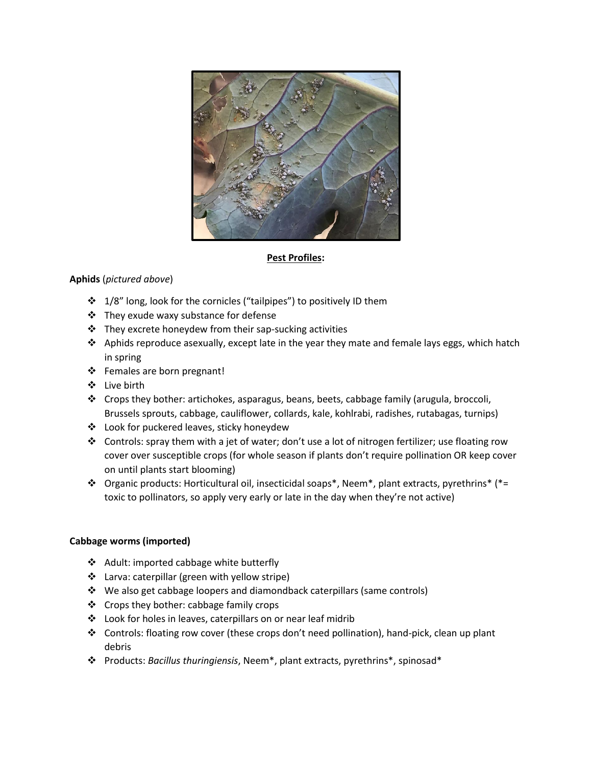

### **Pest Profiles:**

## **Aphids** (*pictured above*)

- ❖ 1/8" long, look for the cornicles ("tailpipes") to positively ID them
- ❖ They exude waxy substance for defense
- ❖ They excrete honeydew from their sap-sucking activities
- ❖ Aphids reproduce asexually, except late in the year they mate and female lays eggs, which hatch in spring
- ❖ Females are born pregnant!
- ❖ Live birth
- ❖ Crops they bother: artichokes, asparagus, beans, beets, cabbage family (arugula, broccoli, Brussels sprouts, cabbage, cauliflower, collards, kale, kohlrabi, radishes, rutabagas, turnips)
- ❖ Look for puckered leaves, sticky honeydew
- ❖ Controls: spray them with a jet of water; don't use a lot of nitrogen fertilizer; use floating row cover over susceptible crops (for whole season if plants don't require pollination OR keep cover on until plants start blooming)
- ❖ Organic products: Horticultural oil, insecticidal soaps\*, Neem\*, plant extracts, pyrethrins\* (\*= toxic to pollinators, so apply very early or late in the day when they're not active)

#### **Cabbage worms (imported)**

- ❖ Adult: imported cabbage white butterfly
- ❖ Larva: caterpillar (green with yellow stripe)
- ❖ We also get cabbage loopers and diamondback caterpillars (same controls)
- ❖ Crops they bother: cabbage family crops
- ❖ Look for holes in leaves, caterpillars on or near leaf midrib
- ❖ Controls: floating row cover (these crops don't need pollination), hand-pick, clean up plant debris
- ❖ Products: *Bacillus thuringiensis*, Neem\*, plant extracts, pyrethrins\*, spinosad\*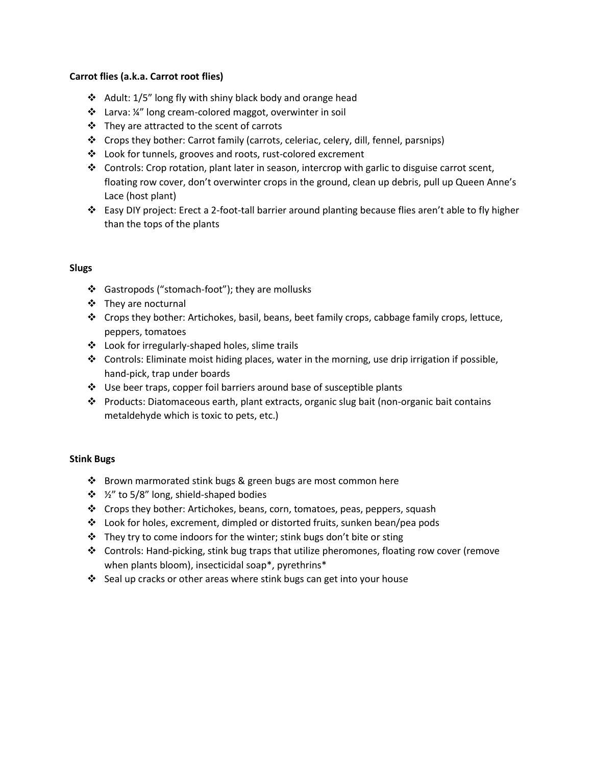#### **Carrot flies (a.k.a. Carrot root flies)**

- ❖ Adult: 1/5" long fly with shiny black body and orange head
- ❖ Larva: ¼" long cream-colored maggot, overwinter in soil
- ❖ They are attracted to the scent of carrots
- ❖ Crops they bother: Carrot family (carrots, celeriac, celery, dill, fennel, parsnips)
- ❖ Look for tunnels, grooves and roots, rust-colored excrement
- ❖ Controls: Crop rotation, plant later in season, intercrop with garlic to disguise carrot scent, floating row cover, don't overwinter crops in the ground, clean up debris, pull up Queen Anne's Lace (host plant)
- ❖ Easy DIY project: Erect a 2-foot-tall barrier around planting because flies aren't able to fly higher than the tops of the plants

### **Slugs**

- ❖ Gastropods ("stomach-foot"); they are mollusks
- ❖ They are nocturnal
- ❖ Crops they bother: Artichokes, basil, beans, beet family crops, cabbage family crops, lettuce, peppers, tomatoes
- ❖ Look for irregularly-shaped holes, slime trails
- ❖ Controls: Eliminate moist hiding places, water in the morning, use drip irrigation if possible, hand-pick, trap under boards
- ❖ Use beer traps, copper foil barriers around base of susceptible plants
- ❖ Products: Diatomaceous earth, plant extracts, organic slug bait (non-organic bait contains metaldehyde which is toxic to pets, etc.)

## **Stink Bugs**

- ❖ Brown marmorated stink bugs & green bugs are most common here
- ❖ ½" to 5/8" long, shield-shaped bodies
- ❖ Crops they bother: Artichokes, beans, corn, tomatoes, peas, peppers, squash
- ❖ Look for holes, excrement, dimpled or distorted fruits, sunken bean/pea pods
- ❖ They try to come indoors for the winter; stink bugs don't bite or sting
- ❖ Controls: Hand-picking, stink bug traps that utilize pheromones, floating row cover (remove when plants bloom), insecticidal soap\*, pyrethrins\*
- ❖ Seal up cracks or other areas where stink bugs can get into your house